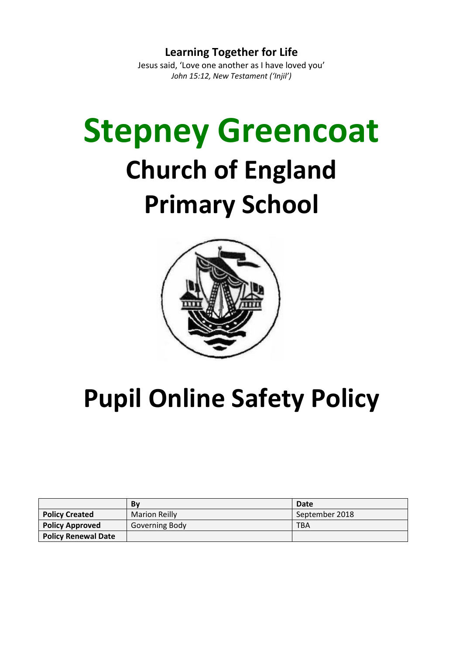**Learning Together for Life** Jesus said, 'Love one another as I have loved you' *John 15:12, New Testament ('Injil')*

# **Stepney Greencoat Church of England Primary School**



# **Pupil Online Safety Policy**

|                            | Bv                   | Date           |
|----------------------------|----------------------|----------------|
| <b>Policy Created</b>      | <b>Marion Reilly</b> | September 2018 |
| <b>Policy Approved</b>     | Governing Body       | TBA            |
| <b>Policy Renewal Date</b> |                      |                |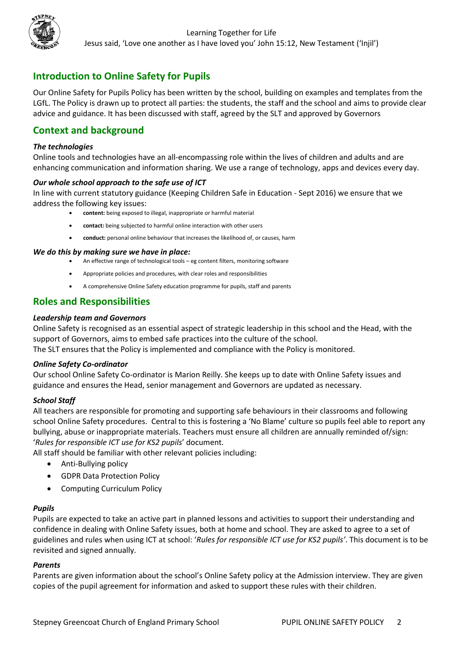

# **Introduction to Online Safety for Pupils**

Our Online Safety for Pupils Policy has been written by the school, building on examples and templates from the LGfL. The Policy is drawn up to protect all parties: the students, the staff and the school and aims to provide clear advice and guidance. It has been discussed with staff, agreed by the SLT and approved by Governors

# **Context and background**

#### *The technologies*

Online tools and technologies have an all-encompassing role within the lives of children and adults and are enhancing communication and information sharing. We use a range of technology, apps and devices every day.

#### *Our whole school approach to the safe use of ICT*

In line with current statutory guidance (Keeping Children Safe in Education - Sept 2016) we ensure that we address the following key issues:

- **content:** being exposed to illegal, inappropriate or harmful material
- **contact:** being subjected to harmful online interaction with other users
- **conduct:** personal online behaviour that increases the likelihood of, or causes, harm

#### *We do this by making sure we have in place:*

- An effective range of technological tools eg content filters, monitoring software
- Appropriate policies and procedures, with clear roles and responsibilities
- A comprehensive Online Safety education programme for pupils, staff and parents

# **Roles and Responsibilities**

#### *Leadership team and Governors*

Online Safety is recognised as an essential aspect of strategic leadership in this school and the Head, with the support of Governors, aims to embed safe practices into the culture of the school.

The SLT ensures that the Policy is implemented and compliance with the Policy is monitored.

#### *Online Safety Co-ordinator*

Our school Online Safety Co-ordinator is Marion Reilly. She keeps up to date with Online Safety issues and guidance and ensures the Head, senior management and Governors are updated as necessary.

#### *School Staff*

All teachers are responsible for promoting and supporting safe behaviours in their classrooms and following school Online Safety procedures. Central to this is fostering a 'No Blame' culture so pupils feel able to report any bullying, abuse or inappropriate materials. Teachers must ensure all children are annually reminded of/sign: '*Rules for responsible ICT use for KS2 pupils*' document.

All staff should be familiar with other relevant policies including:

- Anti-Bullying policy
- GDPR Data Protection Policy
- Computing Curriculum Policy

#### *Pupils*

Pupils are expected to take an active part in planned lessons and activities to support their understanding and confidence in dealing with Online Safety issues, both at home and school. They are asked to agree to a set of guidelines and rules when using ICT at school: '*Rules for responsible ICT use for KS2 pupils'*. This document is to be revisited and signed annually.

#### *Parents*

Parents are given information about the school's Online Safety policy at the Admission interview. They are given copies of the pupil agreement for information and asked to support these rules with their children.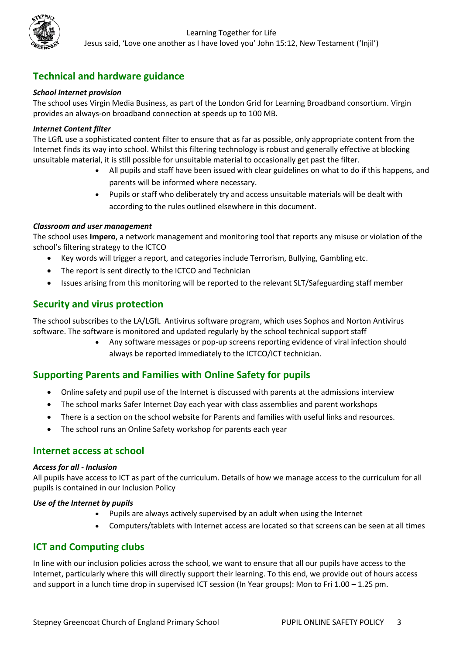# Learning Together for Life Jesus said, 'Love one another as I have loved you' John 15:12, New Testament ('Injil')

# **Technical and hardware guidance**

## *School Internet provision*

The school uses Virgin Media Business, as part of the London Grid for Learning Broadband consortium. Virgin provides an always-on broadband connection at speeds up to 100 MB.

#### *Internet Content filter*

The LGfL use a sophisticated content filter to ensure that as far as possible, only appropriate content from the Internet finds its way into school. Whilst this filtering technology is robust and generally effective at blocking unsuitable material, it is still possible for unsuitable material to occasionally get past the filter.

- All pupils and staff have been issued with clear guidelines on what to do if this happens, and parents will be informed where necessary.
- Pupils or staff who deliberately try and access unsuitable materials will be dealt with according to the rules outlined elsewhere in this document.

#### *Classroom and user management*

The school uses **Impero**, a network management and monitoring tool that reports any misuse or violation of the school's filtering strategy to the ICTCO

- Key words will trigger a report, and categories include Terrorism, Bullying, Gambling etc.
- The report is sent directly to the ICTCO and Technician
- Issues arising from this monitoring will be reported to the relevant SLT/Safeguarding staff member

# **Security and virus protection**

The school subscribes to the LA/LGfL Antivirus software program, which uses Sophos and Norton Antivirus software. The software is monitored and updated regularly by the school technical support staff

> • Any software messages or pop-up screens reporting evidence of viral infection should always be reported immediately to the ICTCO/ICT technician.

# **Supporting Parents and Families with Online Safety for pupils**

- Online safety and pupil use of the Internet is discussed with parents at the admissions interview
- The school marks Safer Internet Day each year with class assemblies and parent workshops
- There is a section on the school website for Parents and families with useful links and resources.
- The school runs an Online Safety workshop for parents each year

# **Internet access at school**

#### *Access for all - Inclusion*

All pupils have access to ICT as part of the curriculum. Details of how we manage access to the curriculum for all pupils is contained in our Inclusion Policy

#### *Use of the Internet by pupils*

- Pupils are always actively supervised by an adult when using the Internet
- Computers/tablets with Internet access are located so that screens can be seen at all times

# **ICT and Computing clubs**

In line with our inclusion policies across the school, we want to ensure that all our pupils have access to the Internet, particularly where this will directly support their learning. To this end, we provide out of hours access and support in a lunch time drop in supervised ICT session (In Year groups): Mon to Fri 1.00 – 1.25 pm.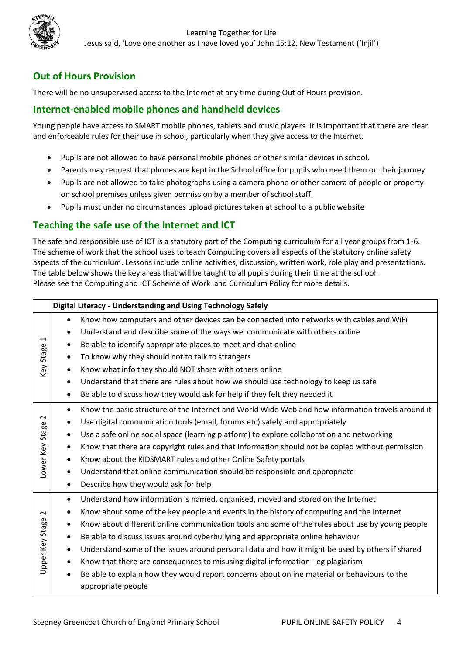

# Learning Together for Life Jesus said, 'Love one another as I have loved you' John 15:12, New Testament ('Injil')

# **Out of Hours Provision**

There will be no unsupervised access to the Internet at any time during Out of Hours provision.

# **Internet-enabled mobile phones and handheld devices**

Young people have access to SMART mobile phones, tablets and music players. It is important that there are clear and enforceable rules for their use in school, particularly when they give access to the Internet.

- Pupils are not allowed to have personal mobile phones or other similar devices in school.
- Parents may request that phones are kept in the School office for pupils who need them on their journey
- Pupils are not allowed to take photographs using a camera phone or other camera of people or property on school premises unless given permission by a member of school staff.
- Pupils must under no circumstances upload pictures taken at school to a public website

# **Teaching the safe use of the Internet and ICT**

The safe and responsible use of ICT is a statutory part of the Computing curriculum for all year groups from 1-6. The scheme of work that the school uses to teach Computing covers all aspects of the statutory online safety aspects of the curriculum. Lessons include online activities, discussion, written work, role play and presentations. The table below shows the key areas that will be taught to all pupils during their time at the school. Please see the Computing and ICT Scheme of Work and Curriculum Policy for more details.

|                                   | Digital Literacy - Understanding and Using Technology Safely                                                   |  |  |  |  |
|-----------------------------------|----------------------------------------------------------------------------------------------------------------|--|--|--|--|
| ⊣<br>Stage<br>Key                 | Know how computers and other devices can be connected into networks with cables and WiFi<br>$\bullet$          |  |  |  |  |
|                                   | Understand and describe some of the ways we communicate with others online<br>$\bullet$                        |  |  |  |  |
|                                   | Be able to identify appropriate places to meet and chat online<br>$\bullet$                                    |  |  |  |  |
|                                   | To know why they should not to talk to strangers<br>$\bullet$                                                  |  |  |  |  |
|                                   | Know what info they should NOT share with others online<br>$\bullet$                                           |  |  |  |  |
|                                   | Understand that there are rules about how we should use technology to keep us safe<br>$\bullet$                |  |  |  |  |
|                                   | Be able to discuss how they would ask for help if they felt they needed it<br>$\bullet$                        |  |  |  |  |
| $\sim$<br>Φ<br>Stage<br>Lower Key | Know the basic structure of the Internet and World Wide Web and how information travels around it<br>$\bullet$ |  |  |  |  |
|                                   | Use digital communication tools (email, forums etc) safely and appropriately<br>$\bullet$                      |  |  |  |  |
|                                   | Use a safe online social space (learning platform) to explore collaboration and networking<br>$\bullet$        |  |  |  |  |
|                                   | Know that there are copyright rules and that information should not be copied without permission<br>$\bullet$  |  |  |  |  |
|                                   | Know about the KIDSMART rules and other Online Safety portals<br>$\bullet$                                     |  |  |  |  |
|                                   | Understand that online communication should be responsible and appropriate<br>$\bullet$                        |  |  |  |  |
|                                   | Describe how they would ask for help<br>$\bullet$                                                              |  |  |  |  |
| $\sim$<br>Stage                   | Understand how information is named, organised, moved and stored on the Internet<br>٠                          |  |  |  |  |
|                                   | Know about some of the key people and events in the history of computing and the Internet<br>$\bullet$         |  |  |  |  |
|                                   | Know about different online communication tools and some of the rules about use by young people<br>$\bullet$   |  |  |  |  |
|                                   | Be able to discuss issues around cyberbullying and appropriate online behaviour<br>$\bullet$                   |  |  |  |  |
|                                   | Understand some of the issues around personal data and how it might be used by others if shared<br>$\bullet$   |  |  |  |  |
| Upper Key                         | Know that there are consequences to misusing digital information - eg plagiarism<br>$\bullet$                  |  |  |  |  |
|                                   | Be able to explain how they would report concerns about online material or behaviours to the<br>$\bullet$      |  |  |  |  |
|                                   | appropriate people                                                                                             |  |  |  |  |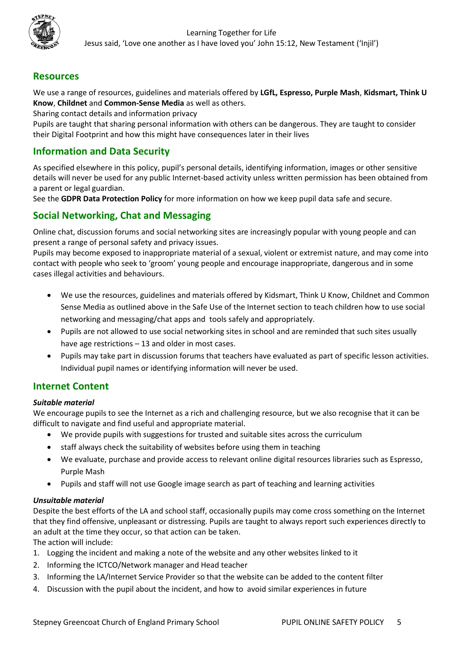

# **Resources**

We use a range of resources, guidelines and materials offered by **LGfL, Espresso, Purple Mash**, **Kidsmart, Think U Know**, **Childnet** and **Common-Sense Media** as well as others.

Sharing contact details and information privacy

Pupils are taught that sharing personal information with others can be dangerous. They are taught to consider their Digital Footprint and how this might have consequences later in their lives

# **Information and Data Security**

As specified elsewhere in this policy, pupil's personal details, identifying information, images or other sensitive details will never be used for any public Internet-based activity unless written permission has been obtained from a parent or legal guardian.

See the **GDPR Data Protection Policy** for more information on how we keep pupil data safe and secure*.*

# **Social Networking, Chat and Messaging**

Online chat, discussion forums and social networking sites are increasingly popular with young people and can present a range of personal safety and privacy issues.

Pupils may become exposed to inappropriate material of a sexual, violent or extremist nature, and may come into contact with people who seek to 'groom' young people and encourage inappropriate, dangerous and in some cases illegal activities and behaviours.

- We use the resources, guidelines and materials offered by Kidsmart, Think U Know, Childnet and Common Sense Media as outlined above in the Safe Use of the Internet section to teach children how to use social networking and messaging/chat apps and tools safely and appropriately.
- Pupils are not allowed to use social networking sites in school and are reminded that such sites usually have age restrictions – 13 and older in most cases.
- Pupils may take part in discussion forums that teachers have evaluated as part of specific lesson activities. Individual pupil names or identifying information will never be used.

# **Internet Content**

## *Suitable material*

We encourage pupils to see the Internet as a rich and challenging resource, but we also recognise that it can be difficult to navigate and find useful and appropriate material.

- We provide pupils with suggestions for trusted and suitable sites across the curriculum
- staff always check the suitability of websites before using them in teaching
- We evaluate, purchase and provide access to relevant online digital resources libraries such as Espresso, Purple Mash
- Pupils and staff will not use Google image search as part of teaching and learning activities

## *Unsuitable material*

Despite the best efforts of the LA and school staff, occasionally pupils may come cross something on the Internet that they find offensive, unpleasant or distressing. Pupils are taught to always report such experiences directly to an adult at the time they occur, so that action can be taken.

The action will include:

- 1. Logging the incident and making a note of the website and any other websites linked to it
- 2. Informing the ICTCO/Network manager and Head teacher
- 3. Informing the LA/Internet Service Provider so that the website can be added to the content filter
- 4. Discussion with the pupil about the incident, and how to avoid similar experiences in future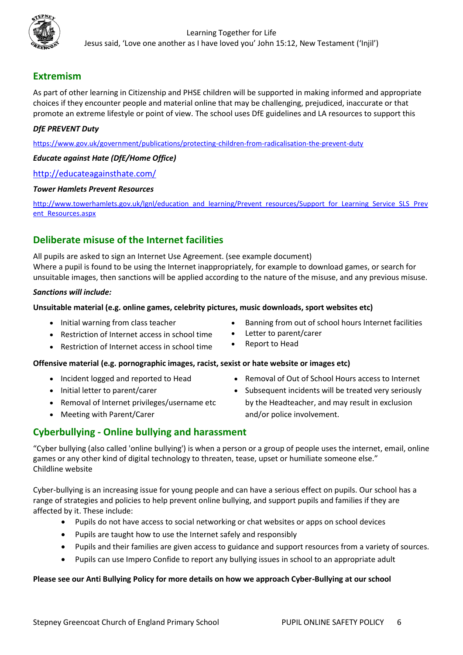

# **Extremism**

As part of other learning in Citizenship and PHSE children will be supported in making informed and appropriate choices if they encounter people and material online that may be challenging, prejudiced, inaccurate or that promote an extreme lifestyle or point of view. The school uses DfE guidelines and LA resources to support this

# *DfE PREVENT Duty*

<https://www.gov.uk/government/publications/protecting-children-from-radicalisation-the-prevent-duty>

#### *Educate against Hate (DfE/Home Office)*

#### <http://educateagainsthate.com/>

#### *Tower Hamlets Prevent Resources*

[http://www.towerhamlets.gov.uk/lgnl/education\\_and\\_learning/Prevent\\_resources/Support\\_for\\_Learning\\_Service\\_SLS\\_Prev](http://www.towerhamlets.gov.uk/lgnl/education_and_learning/Prevent_resources/Support_for_Learning_Service_SLS_Prevent_Resources.aspx) [ent\\_Resources.aspx](http://www.towerhamlets.gov.uk/lgnl/education_and_learning/Prevent_resources/Support_for_Learning_Service_SLS_Prevent_Resources.aspx)

# **Deliberate misuse of the Internet facilities**

All pupils are asked to sign an Internet Use Agreement. (see example document) Where a pupil is found to be using the Internet inappropriately, for example to download games, or search for unsuitable images, then sanctions will be applied according to the nature of the misuse, and any previous misuse.

#### *Sanctions will include:*

#### **Unsuitable material (e.g. online games, celebrity pictures, music downloads, sport websites etc)**

- Initial warning from class teacher
- Restriction of Internet access in school time
- Restriction of Internet access in school time

## **Offensive material (e.g. pornographic images, racist, sexist or hate website or images etc)**

- Incident logged and reported to Head
- Initial letter to parent/carer
- Removal of Internet privileges/username etc
- Meeting with Parent/Carer
- Banning from out of school hours Internet facilities
- Letter to parent/carer
- Report to Head
- Removal of Out of School Hours access to Internet
- Subsequent incidents will be treated very seriously by the Headteacher, and may result in exclusion and/or police involvement.

# **Cyberbullying - Online bullying and harassment**

"Cyber bullying (also called 'online bullying') is when a person or a group of people uses the internet, email, online games or any other kind of digital technology to threaten, tease, upset or humiliate someone else." Childline website

Cyber-bullying is an increasing issue for young people and can have a serious effect on pupils. Our school has a range of strategies and policies to help prevent online bullying, and support pupils and families if they are affected by it. These include:

- Pupils do not have access to social networking or chat websites or apps on school devices
- Pupils are taught how to use the Internet safely and responsibly
- Pupils and their families are given access to guidance and support resources from a variety of sources.
- Pupils can use Impero Confide to report any bullying issues in school to an appropriate adult

#### **Please see our Anti Bullying Policy for more details on how we approach Cyber-Bullying at our school**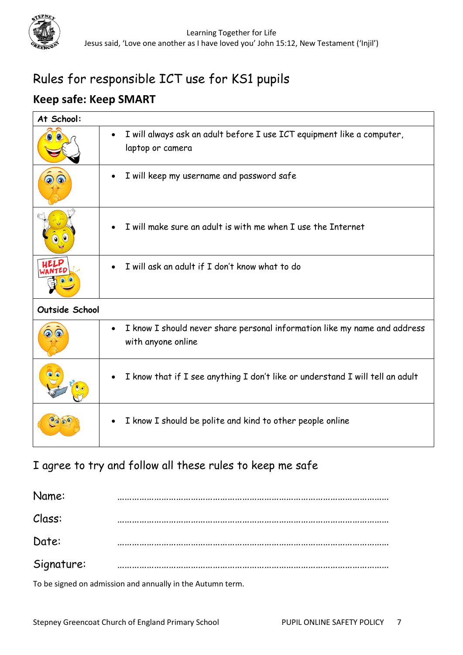

# Rules for responsible ICT use for KS1 pupils

# **Keep safe: Keep SMART**

| At School:          |                                                                                                              |  |  |  |
|---------------------|--------------------------------------------------------------------------------------------------------------|--|--|--|
|                     | I will always ask an adult before I use ICT equipment like a computer,<br>$\bullet$<br>laptop or camera      |  |  |  |
|                     | I will keep my username and password safe                                                                    |  |  |  |
| $\bullet$ $\bullet$ | I will make sure an adult is with me when I use the Internet                                                 |  |  |  |
|                     | I will ask an adult if I don't know what to do                                                               |  |  |  |
| Outside School      |                                                                                                              |  |  |  |
|                     | I know I should never share personal information like my name and address<br>$\bullet$<br>with anyone online |  |  |  |
|                     | I know that if I see anything I don't like or understand I will tell an adult<br>$\bullet$                   |  |  |  |
|                     | I know I should be polite and kind to other people online                                                    |  |  |  |

# I agree to try and follow all these rules to keep me safe

Name: ………………………………………………………………………………………………… Class: ………………………………………………………………………………………………… Date: ………………………………………………………………………………………………… Signature: …………………………………………………………………………………………………

To be signed on admission and annually in the Autumn term.